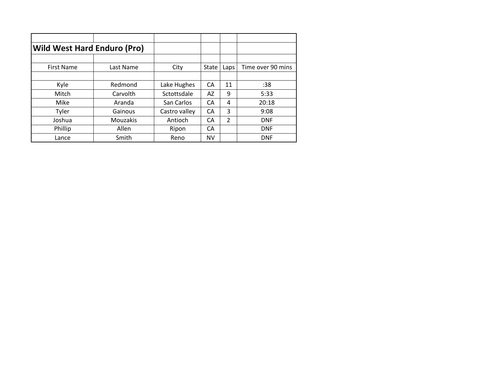| <b>Wild West Hard Enduro (Pro)</b> |                 |               |           |                          |                   |
|------------------------------------|-----------------|---------------|-----------|--------------------------|-------------------|
|                                    |                 |               |           |                          |                   |
| <b>First Name</b>                  | Last Name       | City          | State     | Laps                     | Time over 90 mins |
|                                    |                 |               |           |                          |                   |
| Kyle                               | Redmond         | Lake Hughes   | CA        | 11                       | :38               |
| Mitch                              | Carvolth        | Sctottsdale   | AZ        | 9                        | 5:33              |
| Mike                               | Aranda          | San Carlos    | CA        | 4                        | 20:18             |
| Tyler                              | Gainous         | Castro valley | CA        | 3                        | 9:08              |
| Joshua                             | <b>Mouzakis</b> | Antioch       | CA        | $\overline{\mathcal{L}}$ | <b>DNF</b>        |
| Phillip                            | Allen           | Ripon         | CА        |                          | <b>DNF</b>        |
| Lance                              | Smith           | Reno          | <b>NV</b> |                          | <b>DNF</b>        |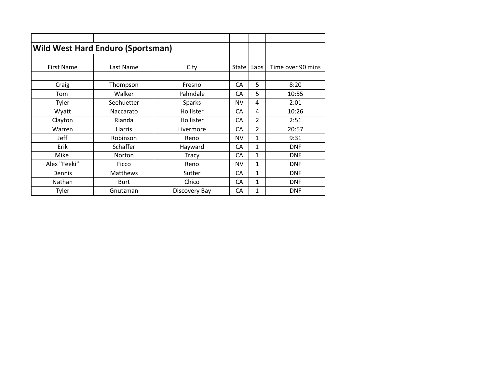|                   | <b>Wild West Hard Enduro (Sportsman)</b> |               |           |                |                   |
|-------------------|------------------------------------------|---------------|-----------|----------------|-------------------|
|                   |                                          |               |           |                |                   |
| <b>First Name</b> | Last Name                                | City          | State     | Laps           | Time over 90 mins |
|                   |                                          |               |           |                |                   |
| Craig             | Thompson                                 | Fresno        | CA        | 5              | 8:20              |
| Tom               | Walker                                   | Palmdale      | CA        | 5              | 10:55             |
| Tyler             | Seehuetter                               | <b>Sparks</b> | <b>NV</b> | 4              | 2:01              |
| Wyatt             | Naccarato                                | Hollister     | CA        | 4              | 10:26             |
| Clayton           | Rianda                                   | Hollister     | CA        | $\overline{2}$ | 2:51              |
| Warren            | Harris                                   | Livermore     | СA        | 2              | 20:57             |
| Jeff              | Robinson                                 | Reno          | <b>NV</b> | $\mathbf{1}$   | 9:31              |
| Erik              | Schaffer                                 | Hayward       | CA        | 1              | <b>DNF</b>        |
| Mike              | Norton                                   | Tracy         | СA        | 1              | <b>DNF</b>        |
| Alex "Feeki"      | Ficco                                    | Reno          | <b>NV</b> | $\mathbf{1}$   | <b>DNF</b>        |
| Dennis            | <b>Matthews</b>                          | Sutter        | CA        | 1              | <b>DNF</b>        |
| Nathan            | <b>Burt</b>                              | Chico         | CA        | $\mathbf{1}$   | <b>DNF</b>        |
| Tyler             | Gnutzman                                 | Discovery Bay | CA        | 1              | <b>DNF</b>        |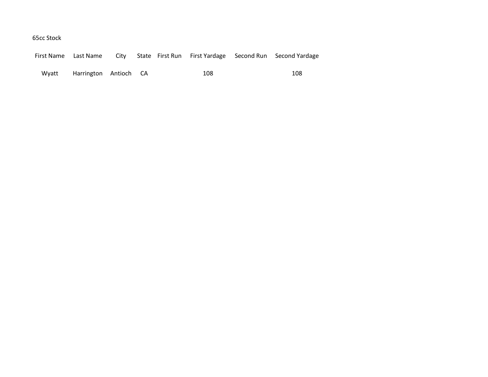## 65cc Stock

|       | First Name Last Name  | City |  |     | State First Run First Yardage Second Run Second Yardage |
|-------|-----------------------|------|--|-----|---------------------------------------------------------|
| Wvatt | Harrington Antioch CA |      |  | 108 | 108                                                     |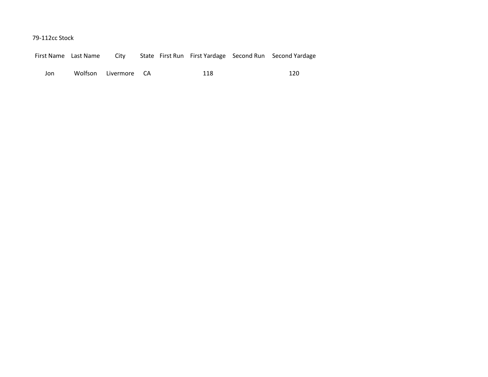79-112cc Stock

|  | First Name Last Name | City |  |  |  |  | State First Run First Yardage Second Run Second Yardage |
|--|----------------------|------|--|--|--|--|---------------------------------------------------------|
|--|----------------------|------|--|--|--|--|---------------------------------------------------------|

Jon Wolfson Livermore CA 118 120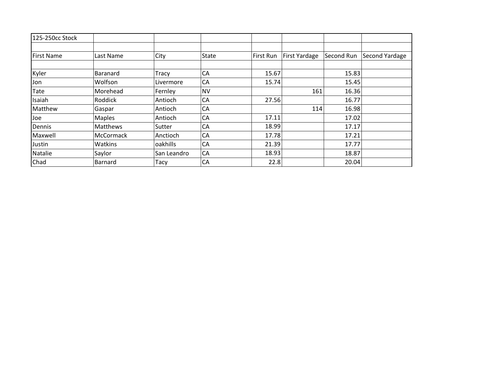| 125-250cc Stock   |                 |             |           |           |               |            |                |
|-------------------|-----------------|-------------|-----------|-----------|---------------|------------|----------------|
|                   |                 |             |           |           |               |            |                |
| <b>First Name</b> | Last Name       | City        | State     | First Run | First Yardage | Second Run | Second Yardage |
|                   |                 |             |           |           |               |            |                |
| Kyler             | <b>Baranard</b> | Tracy       | CA        | 15.67     |               | 15.83      |                |
| Jon               | Wolfson         | Livermore   | CA        | 15.74     |               | 15.45      |                |
| Tate              | Morehead        | Fernley     | <b>NV</b> |           | 161           | 16.36      |                |
| Isaiah            | Roddick         | Antioch     | CA        | 27.56     |               | 16.77      |                |
| Matthew           | Gaspar          | Antioch     | CA        |           | 114           | 16.98      |                |
| Joe               | <b>Maples</b>   | Antioch     | CA        | 17.11     |               | 17.02      |                |
| Dennis            | Matthews        | Sutter      | CA        | 18.99     |               | 17.17      |                |
| Maxwell           | McCormack       | Anctioch    | CA        | 17.78     |               | 17.21      |                |
| Justin            | Watkins         | oakhills    | CA        | 21.39     |               | 17.77      |                |
| Natalie           | Saylor          | San Leandro | CA        | 18.93     |               | 18.87      |                |
| Chad              | <b>Barnard</b>  | Tacy        | CA        | 22.8      |               | 20.04      |                |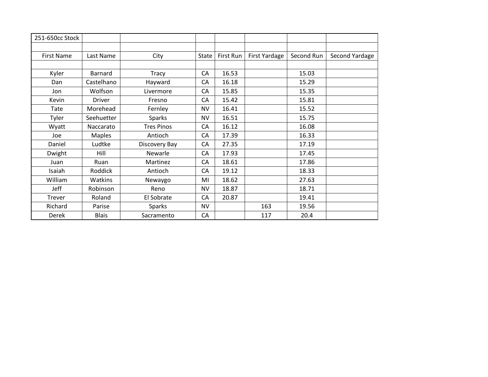| 251-650cc Stock   |               |                   |           |           |               |            |                |
|-------------------|---------------|-------------------|-----------|-----------|---------------|------------|----------------|
|                   |               |                   |           |           |               |            |                |
| <b>First Name</b> | Last Name     | City              | State     | First Run | First Yardage | Second Run | Second Yardage |
|                   |               |                   |           |           |               |            |                |
| Kyler             | Barnard       | <b>Tracy</b>      | CA        | 16.53     |               | 15.03      |                |
| Dan               | Castelhano    | Hayward           | CA        | 16.18     |               | 15.29      |                |
| Jon               | Wolfson       | Livermore         | CA        | 15.85     |               | 15.35      |                |
| Kevin             | <b>Driver</b> | Fresno            | CA        | 15.42     |               | 15.81      |                |
| Tate              | Morehead      | Fernley           | <b>NV</b> | 16.41     |               | 15.52      |                |
| Tyler             | Seehuetter    | Sparks            | <b>NV</b> | 16.51     |               | 15.75      |                |
| Wyatt             | Naccarato     | <b>Tres Pinos</b> | CA        | 16.12     |               | 16.08      |                |
| Joe               | <b>Maples</b> | Antioch           | CA        | 17.39     |               | 16.33      |                |
| Daniel            | Ludtke        | Discovery Bay     | CA        | 27.35     |               | 17.19      |                |
| Dwight            | Hill          | Newarle           | CA        | 17.93     |               | 17.45      |                |
| Juan              | Ruan          | Martinez          | CA        | 18.61     |               | 17.86      |                |
| Isaiah            | Roddick       | Antioch           | CA        | 19.12     |               | 18.33      |                |
| William           | Watkins       | Newaygo           | MI        | 18.62     |               | 27.63      |                |
| Jeff              | Robinson      | Reno              | <b>NV</b> | 18.87     |               | 18.71      |                |
| Trever            | Roland        | El Sobrate        | CA        | 20.87     |               | 19.41      |                |
| Richard           | Parise        | <b>Sparks</b>     | <b>NV</b> |           | 163           | 19.56      |                |
| Derek             | <b>Blais</b>  | Sacramento        | CA        |           | 117           | 20.4       |                |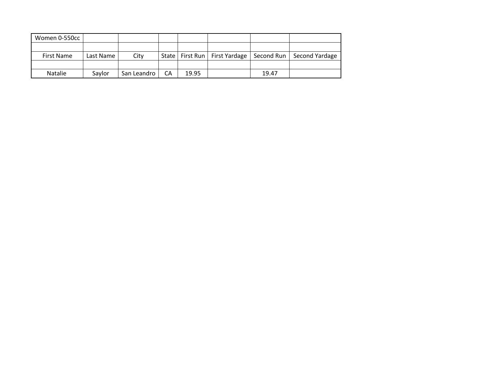| Women 0-550cc     |           |             |    |       |       |                                                                 |
|-------------------|-----------|-------------|----|-------|-------|-----------------------------------------------------------------|
|                   |           |             |    |       |       |                                                                 |
| <b>First Name</b> | Last Name | City        |    |       |       | State   First Run   First Yardage   Second Run   Second Yardage |
|                   |           |             |    |       |       |                                                                 |
| <b>Natalie</b>    | Savlor    | San Leandro | СA | 19.95 | 19.47 |                                                                 |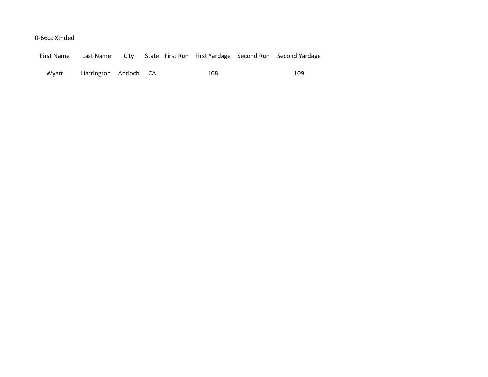## 0-66cc Xtnded

|  |  |  | First Name Last Name City State First Run First Yardage Second Run Second Yardage |
|--|--|--|-----------------------------------------------------------------------------------|
|  |  |  |                                                                                   |

Wyatt Harrington Antioch CA 108 109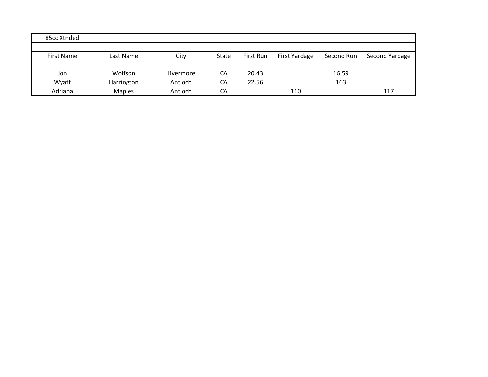| 85cc Xtnded       |               |           |       |           |               |            |                |
|-------------------|---------------|-----------|-------|-----------|---------------|------------|----------------|
|                   |               |           |       |           |               |            |                |
| <b>First Name</b> | Last Name     | City      | State | First Run | First Yardage | Second Run | Second Yardage |
|                   |               |           |       |           |               |            |                |
| Jon               | Wolfson       | Livermore | CA    | 20.43     |               | 16.59      |                |
| Wyatt             | Harrington    | Antioch   | CA    | 22.56     |               | 163        |                |
| Adriana           | <b>Maples</b> | Antioch   | CA    |           | 110           |            | 117            |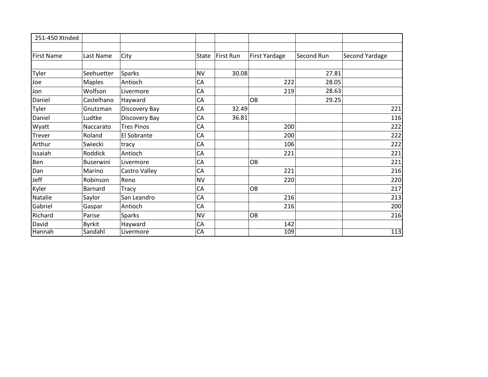| 251-450 Xtnded    |                |                   |           |           |               |            |                |
|-------------------|----------------|-------------------|-----------|-----------|---------------|------------|----------------|
|                   |                |                   |           |           |               |            |                |
| <b>First Name</b> | Last Name      | City              | State     | First Run | First Yardage | Second Run | Second Yardage |
|                   |                |                   |           |           |               |            |                |
| Tyler             | Seehuetter     | Sparks            | <b>NV</b> | 30.08     |               | 27.81      |                |
| Joe               | <b>Maples</b>  | Antioch           | CA        |           | 222           | 28.05      |                |
| Jon               | Wolfson        | Livermore         | CA        |           | 219           | 28.63      |                |
| Daniel            | Castelhano     | Hayward           | CA        |           | OB            | 29.25      |                |
| Tyler             | Gnutzman       | Discovery Bay     | CA        | 32.49     |               |            | 221            |
| Daniel            | Ludtke         | Discovery Bay     | CA        | 36.81     |               |            | 116            |
| Wyatt             | Naccarato      | <b>Tres Pinos</b> | CA        |           | 200           |            | 222            |
| Trever            | Roland         | El Sobrante       | CA        |           | 200           |            | 222            |
| Arthur            | Swiecki        | tracy             | CA        |           | 106           |            | 222            |
| Issaiah           | Roddick        | Antioch           | CA        |           | 221           |            | 221            |
| Ben               | Buserwini      | Livermore         | CA        |           | OB            |            | 221            |
| Dan               | Marino         | Castro Valley     | CA        |           | 221           |            | 216            |
| Jeff              | Robinson       | Reno              | <b>NV</b> |           | 220           |            | 220            |
| Kyler             | <b>Barnard</b> | Tracy             | CA        |           | OB            |            | 217            |
| Natalie           | Saylor         | San Leandro       | CA        |           | 216           |            | 213            |
| Gabriel           | Gaspar         | Antioch           | CA        |           | 216           |            | 200            |
| Richard           | Parise         | <b>Sparks</b>     | <b>NV</b> |           | OB            |            | 216            |
| David             | <b>Byrkit</b>  | Hayward           | CA        |           | 142           |            |                |
| Hannah            | Sandahl        | Livermore         | CA        |           | 109           |            | 113            |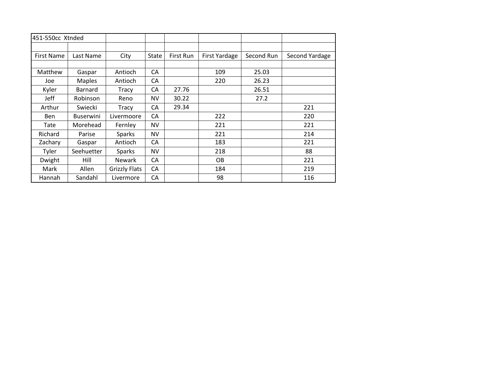| 451-550cc Xtnded  |                  |                      |           |           |               |            |                |
|-------------------|------------------|----------------------|-----------|-----------|---------------|------------|----------------|
|                   |                  |                      |           |           |               |            |                |
| <b>First Name</b> | Last Name        | City                 | State     | First Run | First Yardage | Second Run | Second Yardage |
|                   |                  |                      |           |           |               |            |                |
| Matthew           | Gaspar           | Antioch              | CA        |           | 109           | 25.03      |                |
| Joe               | <b>Maples</b>    | Antioch              | СA        |           | 220           | 26.23      |                |
| Kyler             | Barnard          | Tracy                | CA        | 27.76     |               | 26.51      |                |
| Jeff              | Robinson         | Reno                 | NV        | 30.22     |               | 27.2       |                |
| Arthur            | Swiecki          | Tracy                | СA        | 29.34     |               |            | 221            |
| <b>Ben</b>        | <b>Buserwini</b> | Livermoore           | CA        |           | 222           |            | 220            |
| Tate              | Morehead         | Fernley              | <b>NV</b> |           | 221           |            | 221            |
| Richard           | Parise           | <b>Sparks</b>        | <b>NV</b> |           | 221           |            | 214            |
| Zachary           | Gaspar           | Antioch              | СA        |           | 183           |            | 221            |
| Tyler             | Seehuetter       | <b>Sparks</b>        | <b>NV</b> |           | 218           |            | 88             |
| Dwight            | Hill             | <b>Newark</b>        | CA        |           | OB.           |            | 221            |
| Mark              | Allen            | <b>Grizzly Flats</b> | CA        |           | 184           |            | 219            |
| Hannah            | Sandahl          | Livermore            | CA        |           | 98            |            | 116            |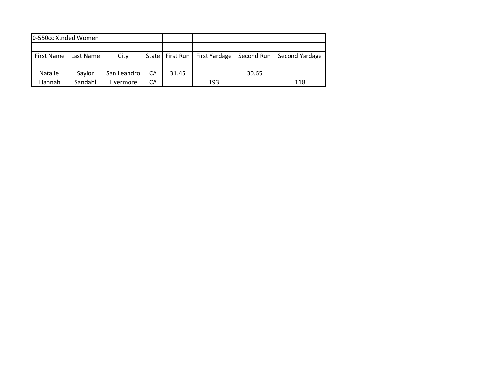| 10-550cc Xtnded Women |           |             |    |       |                                   |            |                |
|-----------------------|-----------|-------------|----|-------|-----------------------------------|------------|----------------|
|                       |           |             |    |       |                                   |            |                |
| First Name            | Last Name | City        |    |       | State   First Run   First Yardage | Second Run | Second Yardage |
|                       |           |             |    |       |                                   |            |                |
| <b>Natalie</b>        | Savlor    | San Leandro | CA | 31.45 |                                   | 30.65      |                |
| Hannah                | Sandahl   | Livermore   | СA |       | 193                               |            | 118            |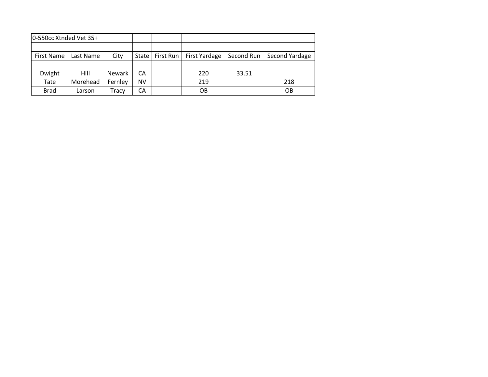| 0-550cc Xtnded Vet 35+ |           |               |       |           |               |            |                |
|------------------------|-----------|---------------|-------|-----------|---------------|------------|----------------|
|                        |           |               |       |           |               |            |                |
| <b>First Name</b>      | Last Name | City          | State | First Run | First Yardage | Second Run | Second Yardage |
|                        |           |               |       |           |               |            |                |
| Dwight                 | Hill      | <b>Newark</b> | CА    |           | 220           | 33.51      |                |
| Tate                   | Morehead  | Fernley       | NV    |           | 219           |            | 218            |
| <b>Brad</b>            | Larson    | Tracy         | СA    |           | OB            |            | OB             |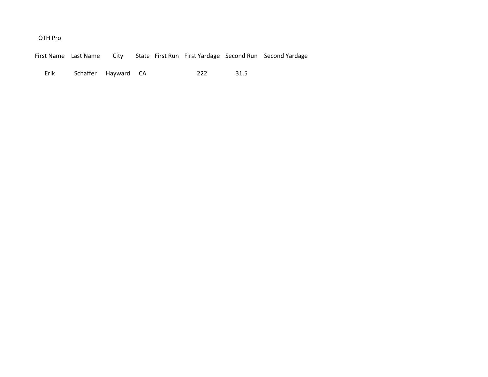## OTH Pro

First Name Last Name City State First Run First Yardage Second Run Second Yardage

Erik Schaffer Hayward CA 222 31.5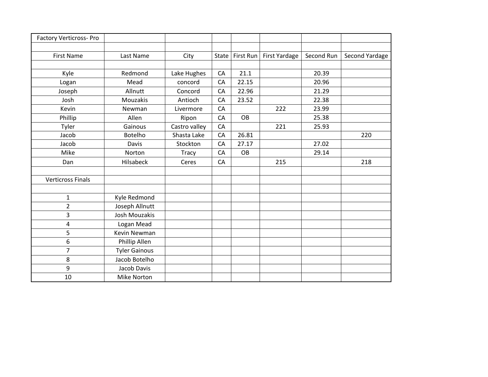| <b>Factory Verticross-Pro</b> |                      |               |              |           |                      |            |                |
|-------------------------------|----------------------|---------------|--------------|-----------|----------------------|------------|----------------|
|                               |                      |               |              |           |                      |            |                |
| <b>First Name</b>             | Last Name            | City          | <b>State</b> | First Run | <b>First Yardage</b> | Second Run | Second Yardage |
|                               |                      |               |              |           |                      |            |                |
| Kyle                          | Redmond              | Lake Hughes   | CA           | 21.1      |                      | 20.39      |                |
| Logan                         | Mead                 | concord       | CA           | 22.15     |                      | 20.96      |                |
| Joseph                        | Allnutt              | Concord       | CA           | 22.96     |                      | 21.29      |                |
| Josh                          | Mouzakis             | Antioch       | CA           | 23.52     |                      | 22.38      |                |
| Kevin                         | Newman               | Livermore     | CA           |           | 222                  | 23.99      |                |
| Phillip                       | Allen                | Ripon         | CA           | <b>OB</b> |                      | 25.38      |                |
| Tyler                         | Gainous              | Castro valley | CA           |           | 221                  | 25.93      |                |
| Jacob                         | Botelho              | Shasta Lake   | CA           | 26.81     |                      |            | 220            |
| Jacob                         | Davis                | Stockton      | CA           | 27.17     |                      | 27.02      |                |
| Mike                          | Norton               | <b>Tracy</b>  | CA           | OB        |                      | 29.14      |                |
| Dan                           | Hilsabeck            | Ceres         | CA           |           | 215                  |            | 218            |
|                               |                      |               |              |           |                      |            |                |
| <b>Verticross Finals</b>      |                      |               |              |           |                      |            |                |
|                               |                      |               |              |           |                      |            |                |
| $\mathbf{1}$                  | Kyle Redmond         |               |              |           |                      |            |                |
| $\overline{2}$                | Joseph Allnutt       |               |              |           |                      |            |                |
| 3                             | Josh Mouzakis        |               |              |           |                      |            |                |
| 4                             | Logan Mead           |               |              |           |                      |            |                |
| 5                             | Kevin Newman         |               |              |           |                      |            |                |
| 6                             | Phillip Allen        |               |              |           |                      |            |                |
| $\overline{7}$                | <b>Tyler Gainous</b> |               |              |           |                      |            |                |
| 8                             | Jacob Botelho        |               |              |           |                      |            |                |
| 9                             | Jacob Davis          |               |              |           |                      |            |                |
| 10                            | Mike Norton          |               |              |           |                      |            |                |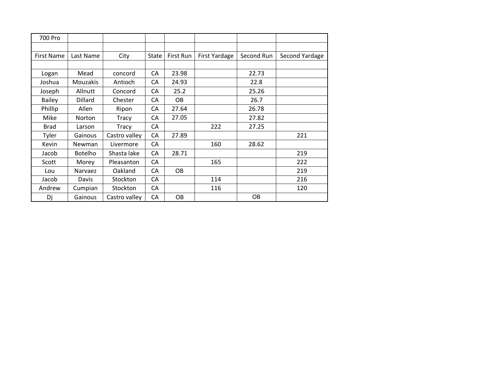| 700 Pro           |                 |               |              |           |                      |            |                |
|-------------------|-----------------|---------------|--------------|-----------|----------------------|------------|----------------|
|                   |                 |               |              |           |                      |            |                |
| <b>First Name</b> | Last Name       | City          | <b>State</b> | First Run | <b>First Yardage</b> | Second Run | Second Yardage |
|                   |                 |               |              |           |                      |            |                |
| Logan             | Mead            | concord       | CA           | 23.98     |                      | 22.73      |                |
| Joshua            | <b>Mouzakis</b> | Antioch       | CA           | 24.93     |                      | 22.8       |                |
| Joseph            | Allnutt         | Concord       | CA           | 25.2      |                      | 25.26      |                |
| <b>Bailey</b>     | <b>Dillard</b>  | Chester       | CA           | <b>OB</b> |                      | 26.7       |                |
| Phillip           | Allen           | Ripon         | CA           | 27.64     |                      | 26.78      |                |
| Mike              | <b>Norton</b>   | Tracy         | CA           | 27.05     |                      | 27.82      |                |
| <b>Brad</b>       | Larson          | Tracy         | CA           |           | 222                  | 27.25      |                |
| Tyler             | Gainous         | Castro valley | CA           | 27.89     |                      |            | 221            |
| Kevin             | <b>Newman</b>   | Livermore     | CA           |           | 160                  | 28.62      |                |
| Jacob             | <b>Botelho</b>  | Shasta lake   | CA           | 28.71     |                      |            | 219            |
| Scott             | Morey           | Pleasanton    | CA           |           | 165                  |            | 222            |
| Lou               | Narvaez         | Oakland       | CA           | <b>OB</b> |                      |            | 219            |
| Jacob             | Davis           | Stockton      | CA           |           | 114                  |            | 216            |
| Andrew            | Cumpian         | Stockton      | CA           |           | 116                  |            | 120            |
| Dj                | Gainous         | Castro valley | CA           | OB        |                      | <b>OB</b>  |                |